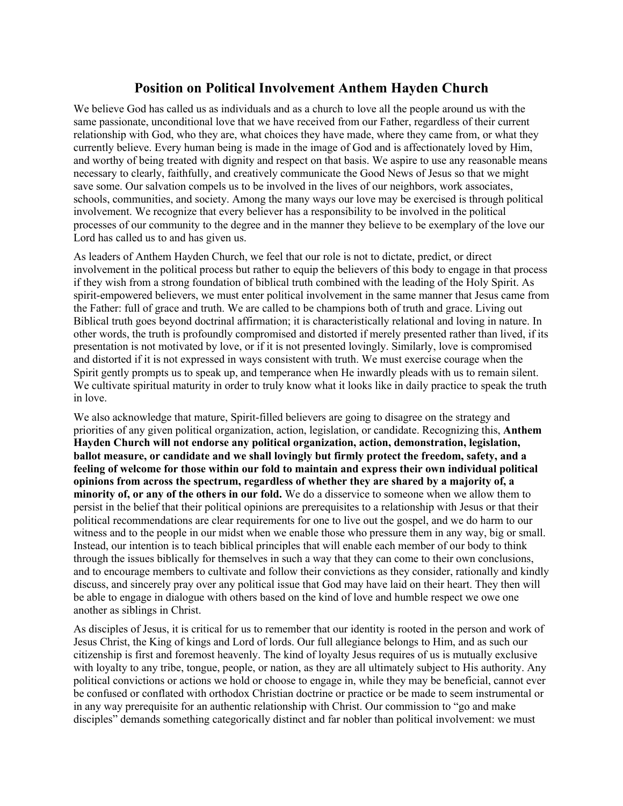## **Position on Political Involvement Anthem Hayden Church**

We believe God has called us as individuals and as a church to love all the people around us with the same passionate, unconditional love that we have received from our Father, regardless of their current relationship with God, who they are, what choices they have made, where they came from, or what they currently believe. Every human being is made in the image of God and is affectionately loved by Him, and worthy of being treated with dignity and respect on that basis. We aspire to use any reasonable means necessary to clearly, faithfully, and creatively communicate the Good News of Jesus so that we might save some. Our salvation compels us to be involved in the lives of our neighbors, work associates, schools, communities, and society. Among the many ways our love may be exercised is through political involvement. We recognize that every believer has a responsibility to be involved in the political processes of our community to the degree and in the manner they believe to be exemplary of the love our Lord has called us to and has given us.

As leaders of Anthem Hayden Church, we feel that our role is not to dictate, predict, or direct involvement in the political process but rather to equip the believers of this body to engage in that process if they wish from a strong foundation of biblical truth combined with the leading of the Holy Spirit. As spirit-empowered believers, we must enter political involvement in the same manner that Jesus came from the Father: full of grace and truth. We are called to be champions both of truth and grace. Living out Biblical truth goes beyond doctrinal affirmation; it is characteristically relational and loving in nature. In other words, the truth is profoundly compromised and distorted if merely presented rather than lived, if its presentation is not motivated by love, or if it is not presented lovingly. Similarly, love is compromised and distorted if it is not expressed in ways consistent with truth. We must exercise courage when the Spirit gently prompts us to speak up, and temperance when He inwardly pleads with us to remain silent. We cultivate spiritual maturity in order to truly know what it looks like in daily practice to speak the truth in love.

We also acknowledge that mature, Spirit-filled believers are going to disagree on the strategy and priorities of any given political organization, action, legislation, or candidate. Recognizing this, **Anthem Hayden Church will not endorse any political organization, action, demonstration, legislation, ballot measure, or candidate and we shall lovingly but firmly protect the freedom, safety, and a feeling of welcome for those within our fold to maintain and express their own individual political opinions from across the spectrum, regardless of whether they are shared by a majority of, a minority of, or any of the others in our fold.** We do a disservice to someone when we allow them to persist in the belief that their political opinions are prerequisites to a relationship with Jesus or that their political recommendations are clear requirements for one to live out the gospel, and we do harm to our witness and to the people in our midst when we enable those who pressure them in any way, big or small. Instead, our intention is to teach biblical principles that will enable each member of our body to think through the issues biblically for themselves in such a way that they can come to their own conclusions, and to encourage members to cultivate and follow their convictions as they consider, rationally and kindly discuss, and sincerely pray over any political issue that God may have laid on their heart. They then will be able to engage in dialogue with others based on the kind of love and humble respect we owe one another as siblings in Christ.

As disciples of Jesus, it is critical for us to remember that our identity is rooted in the person and work of Jesus Christ, the King of kings and Lord of lords. Our full allegiance belongs to Him, and as such our citizenship is first and foremost heavenly. The kind of loyalty Jesus requires of us is mutually exclusive with loyalty to any tribe, tongue, people, or nation, as they are all ultimately subject to His authority. Any political convictions or actions we hold or choose to engage in, while they may be beneficial, cannot ever be confused or conflated with orthodox Christian doctrine or practice or be made to seem instrumental or in any way prerequisite for an authentic relationship with Christ. Our commission to "go and make disciples" demands something categorically distinct and far nobler than political involvement: we must